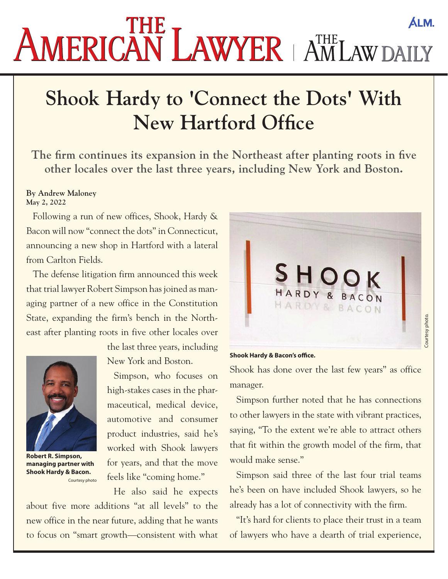## **ALM.** AMERICAN LAWYER AMLAWDAILY

## **Shook Hardy to 'Connect the Dots' With New Hartford Office**

**The firm continues its expansion in the Northeast after planting roots in five other locales over the last three years, including New York and Boston.**

## **By Andrew Maloney May 2, 2022**

Following a run of new offices, Shook, Hardy & Bacon will now "connect the dots" in Connecticut, announcing a new shop in Hartford with a lateral from Carlton Fields.

The defense litigation firm announced this week that trial lawyer Robert Simpson has joined as managing partner of a new office in the Constitution State, expanding the firm's bench in the Northeast after planting roots in five other locales over



**Robert R. Simpson, managing partner with Shook Hardy & Bacon.**  Courtesy photo

the last three years, including New York and Boston.

Simpson, who focuses on high-stakes cases in the pharmaceutical, medical device, automotive and consumer product industries, said he's worked with Shook lawyers for years, and that the move feels like "coming home."

He also said he expects

about five more additions "at all levels" to the new office in the near future, adding that he wants to focus on "smart growth—consistent with what



**Shook Hardy & Bacon's office.**

Shook has done over the last few years" as office manager.

Simpson further noted that he has connections to other lawyers in the state with vibrant practices, saying, "To the extent we're able to attract others that fit within the growth model of the firm, that would make sense."

Simpson said three of the last four trial teams he's been on have included Shook lawyers, so he already has a lot of connectivity with the firm.

"It's hard for clients to place their trust in a team of lawyers who have a dearth of trial experience,